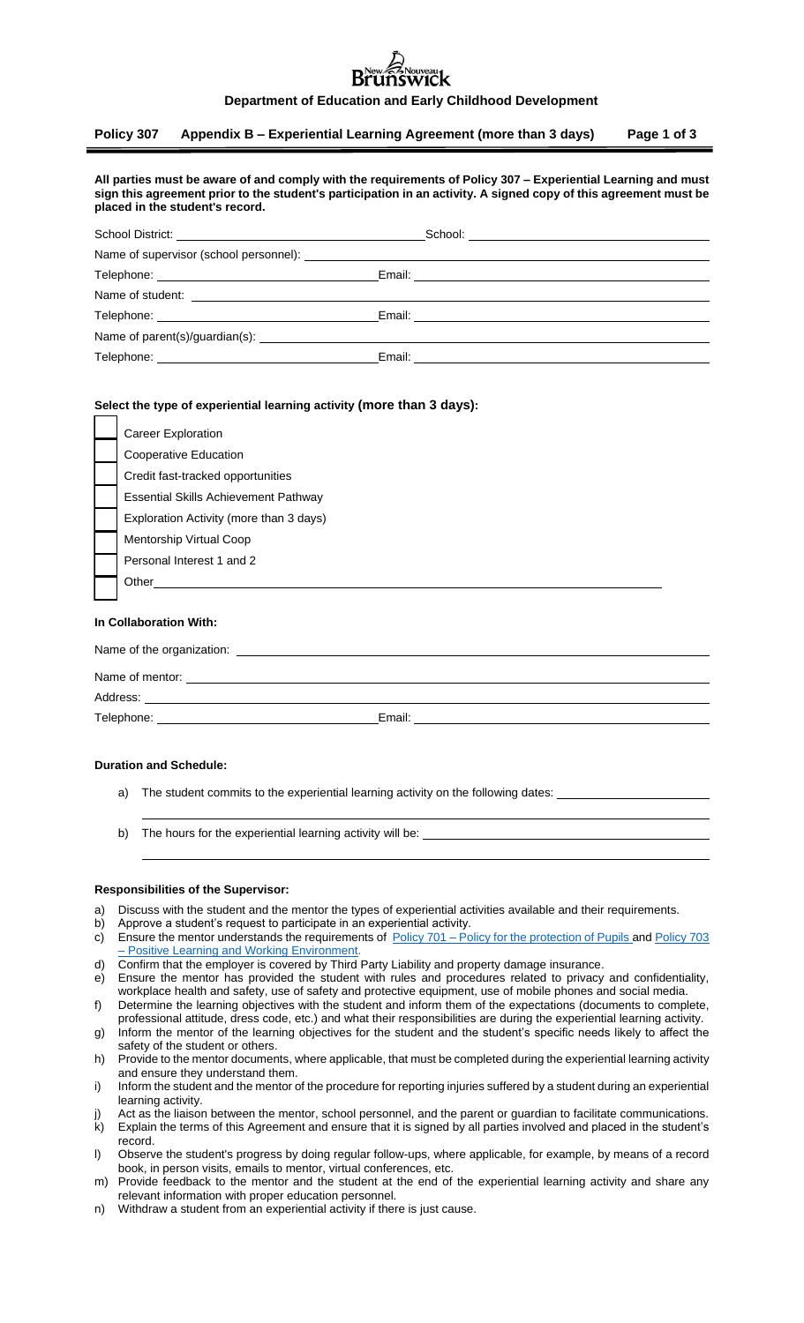## $\overset{\text{\tiny{eau}}}{\text{1C}}\textbf{k}$

#### **Department of Education and Early Childhood Development**

## **Policy 307 Appendix B – Experiential Learning Agreement (more than 3 days) Page 1 of 3**

| All parties must be aware of and comply with the requirements of Policy 307 – Experiential Learning and must     |
|------------------------------------------------------------------------------------------------------------------|
| sign this agreement prior to the student's participation in an activity. A signed copy of this agreement must be |
| placed in the student's record.                                                                                  |

|            | Email: <u>_______________________________</u> |  |  |  |
|------------|-----------------------------------------------|--|--|--|
|            |                                               |  |  |  |
| Telephone: | Email:                                        |  |  |  |

## **Select the type of experiential learning activity (more than 3 days):**

|                        | Career Exploration                      |  |  |  |
|------------------------|-----------------------------------------|--|--|--|
|                        | Cooperative Education                   |  |  |  |
|                        | Credit fast-tracked opportunities       |  |  |  |
|                        | Essential Skills Achievement Pathway    |  |  |  |
|                        | Exploration Activity (more than 3 days) |  |  |  |
|                        | Mentorship Virtual Coop                 |  |  |  |
|                        | Personal Interest 1 and 2               |  |  |  |
|                        | Other                                   |  |  |  |
| In Collaboration With: |                                         |  |  |  |
|                        |                                         |  |  |  |

| Name of the organization: |        |  |
|---------------------------|--------|--|
| Name of mentor:           |        |  |
| Address:                  |        |  |
| Telephone:                | Email: |  |

#### **Duration and Schedule:**

- a) The student commits to the experiential learning activity on the following dates:
- b) The hours for the experiential learning activity will be:

#### **Responsibilities of the Supervisor:**

- a) Discuss with the student and the mentor the types of experiential activities available and their requirements.
- b) Approve a student's request to participate in an experiential activity.
- c) Ensure the mentor understands the requirements of Policy 701 [Policy for the protection of Pupils](https://www2.gnb.ca/content/gnb/en/departments/education/k12/content/policies.html) and [Policy 703](https://www2.gnb.ca/content/gnb/en/departments/education/k12/content/policies.html) [Positive Learning and Working Environment.](https://www2.gnb.ca/content/gnb/en/departments/education/k12/content/policies.html)
- d) Confirm that the employer is covered by Third Party Liability and property damage insurance.
- e) Ensure the mentor has provided the student with rules and procedures related to privacy and confidentiality, workplace health and safety, use of safety and protective equipment, use of mobile phones and social media.
- f) Determine the learning objectives with the student and inform them of the expectations (documents to complete, professional attitude, dress code, etc.) and what their responsibilities are during the experiential learning activity.
- g) Inform the mentor of the learning objectives for the student and the student's specific needs likely to affect the safety of the student or others.
- h) Provide to the mentor documents, where applicable, that must be completed during the experiential learning activity and ensure they understand them.
- i) Inform the student and the mentor of the procedure for reporting injuries suffered by a student during an experiential learning activity.
- Act as the liaison between the mentor, school personnel, and the parent or guardian to facilitate communications. k) Explain the terms of this Agreement and ensure that it is signed by all parties involved and placed in the student's record.
- l) Observe the student's progress by doing regular follow-ups, where applicable, for example, by means of a record book, in person visits, emails to mentor, virtual conferences, etc.
- m) Provide feedback to the mentor and the student at the end of the experiential learning activity and share any relevant information with proper education personnel.
- n) Withdraw a student from an experiential activity if there is just cause.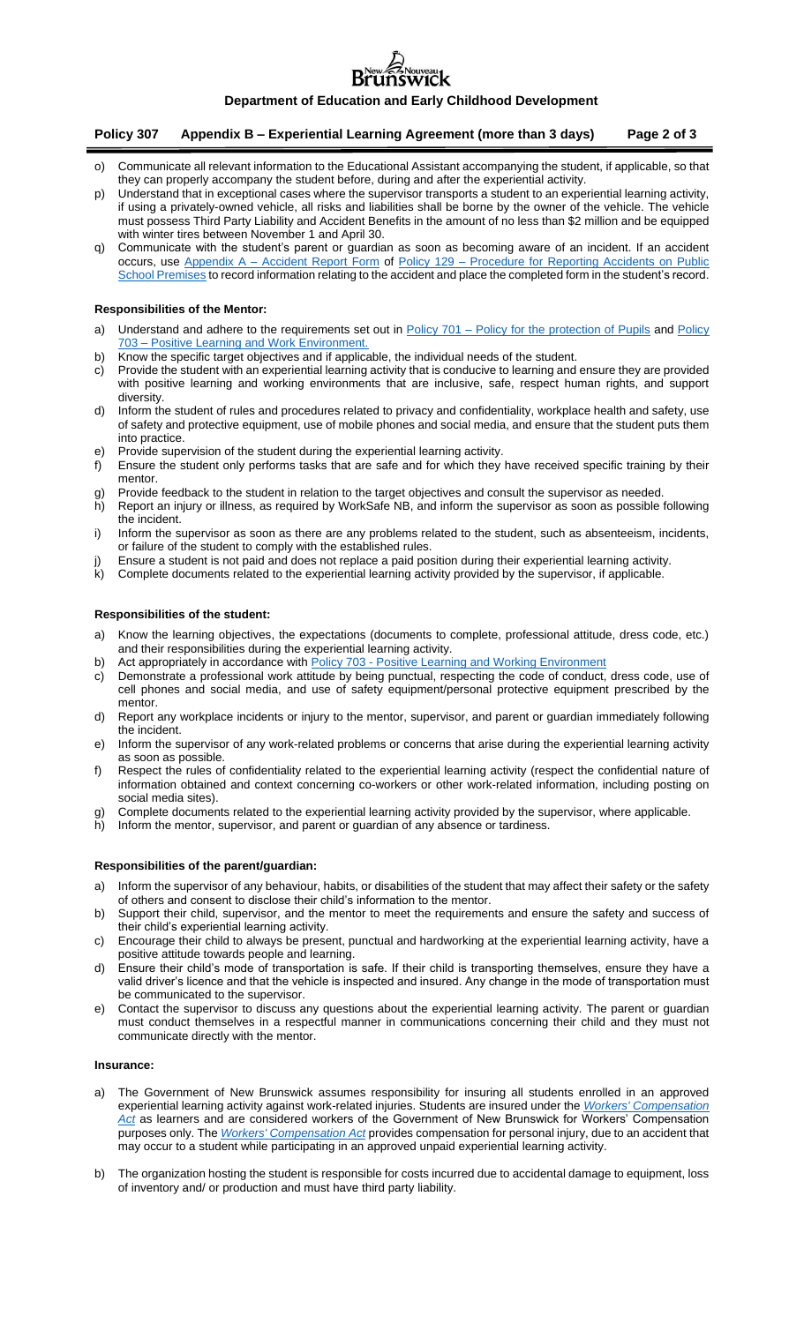# **uveau**<br>V1CK

## **Department of Education and Early Childhood Development**

### **Policy 307 Appendix B – Experiential Learning Agreement (more than 3 days) Page 2 of 3**

- o) Communicate all relevant information to the Educational Assistant accompanying the student, if applicable, so that they can properly accompany the student before, during and after the experiential activity.
- p) Understand that in exceptional cases where the supervisor transports a student to an experiential learning activity, if using a privately-owned vehicle, all risks and liabilities shall be borne by the owner of the vehicle. The vehicle must possess Third Party Liability and Accident Benefits in the amount of no less than \$2 million and be equipped with winter tires between November 1 and April 30.
- q) Communicate with the student's parent or guardian as soon as becoming aware of an incident. If an accident occurs, use Appendix A - [Accident Report Form](https://www2.gnb.ca/content/gnb/en/departments/education/k12/content/policies.html) of Policy 129 - Procedure for Reporting Accidents on Public [School Premises](https://www2.gnb.ca/content/gnb/en/departments/education/k12/content/policies.html) to record information relating to the accident and place the completed form in the student's record.

#### **Responsibilities of the Mentor:**

- a) Understand and adhere to the requirements set out in Policy 701 [Policy for the protection of Pupils](https://www2.gnb.ca/content/gnb/en/departments/education/k12/content/policies.html) and Policy 703 – [Positive Learning and Work Environment.](https://www2.gnb.ca/content/gnb/en/departments/education/k12/content/policies.html)
- b) Know the specific target objectives and if applicable, the individual needs of the student.
- c) Provide the student with an experiential learning activity that is conducive to learning and ensure they are provided with positive learning and working environments that are inclusive, safe, respect human rights, and support diversity.
- d) Inform the student of rules and procedures related to privacy and confidentiality, workplace health and safety, use of safety and protective equipment, use of mobile phones and social media, and ensure that the student puts them into practice.
- e) Provide supervision of the student during the experiential learning activity.
- f) Ensure the student only performs tasks that are safe and for which they have received specific training by their mentor.
- g) Provide feedback to the student in relation to the target objectives and consult the supervisor as needed.<br>h) Report an iniury or illness, as required by WorkSafe NB, and inform the supervisor as soon as possible Report an injury or illness, as required by WorkSafe NB, and inform the supervisor as soon as possible following the incident.
- i) Inform the supervisor as soon as there are any problems related to the student, such as absenteeism, incidents, or failure of the student to comply with the established rules.
- j) Ensure a student is not paid and does not replace a paid position during their experiential learning activity.<br>k) Complete documents related to the experiential learning activity provided by the supervisor, if applicabl
- Complete documents related to the experiential learning activity provided by the supervisor, if applicable.

## **Responsibilities of the student:**

- a) Know the learning objectives, the expectations (documents to complete, professional attitude, dress code, etc.) and their responsibilities during the experiential learning activity.
- b) Act appropriately in accordance with Policy 703 [Positive Learning and Working Environment](https://www2.gnb.ca/content/gnb/en/departments/education/k12/content/policies.html)
- c) Demonstrate a professional work attitude by being punctual, respecting the code of conduct, dress code, use of cell phones and social media, and use of safety equipment/personal protective equipment prescribed by the mentor.
- d) Report any workplace incidents or injury to the mentor, supervisor, and parent or guardian immediately following the incident.
- e) Inform the supervisor of any work-related problems or concerns that arise during the experiential learning activity as soon as possible.
- f) Respect the rules of confidentiality related to the experiential learning activity (respect the confidential nature of information obtained and context concerning co-workers or other work-related information, including posting on social media sites).
- g) Complete documents related to the experiential learning activity provided by the supervisor, where applicable.
- h) Inform the mentor, supervisor, and parent or guardian of any absence or tardiness.

#### **Responsibilities of the parent/guardian:**

- a) Inform the supervisor of any behaviour, habits, or disabilities of the student that may affect their safety or the safety of others and consent to disclose their child's information to the mentor.
- b) Support their child, supervisor, and the mentor to meet the requirements and ensure the safety and success of their child's experiential learning activity.
- c) Encourage their child to always be present, punctual and hardworking at the experiential learning activity, have a positive attitude towards people and learning.
- d) Ensure their child's mode of transportation is safe. If their child is transporting themselves, ensure they have a valid driver's licence and that the vehicle is inspected and insured. Any change in the mode of transportation must be communicated to the supervisor.
- e) Contact the supervisor to discuss any questions about the experiential learning activity. The parent or guardian must conduct themselves in a respectful manner in communications concerning their child and they must not communicate directly with the mentor.

#### **Insurance:**

- The Government of New Brunswick assumes responsibility for insuring all students enrolled in an approved experiential learning activity against work-related injuries. Students are insured under the *[Workers' Compensation](http://laws.gnb.ca/en/BrowseTitle)  [Act](http://laws.gnb.ca/en/BrowseTitle)* as learners and are considered workers of the Government of New Brunswick for Workers' Compensation purposes only. The *[Workers' Compensation Act](http://laws.gnb.ca/en/BrowseTitle)* provides compensation for personal injury, due to an accident that may occur to a student while participating in an approved unpaid experiential learning activity.
- b) The organization hosting the student is responsible for costs incurred due to accidental damage to equipment, loss of inventory and/ or production and must have third party liability.